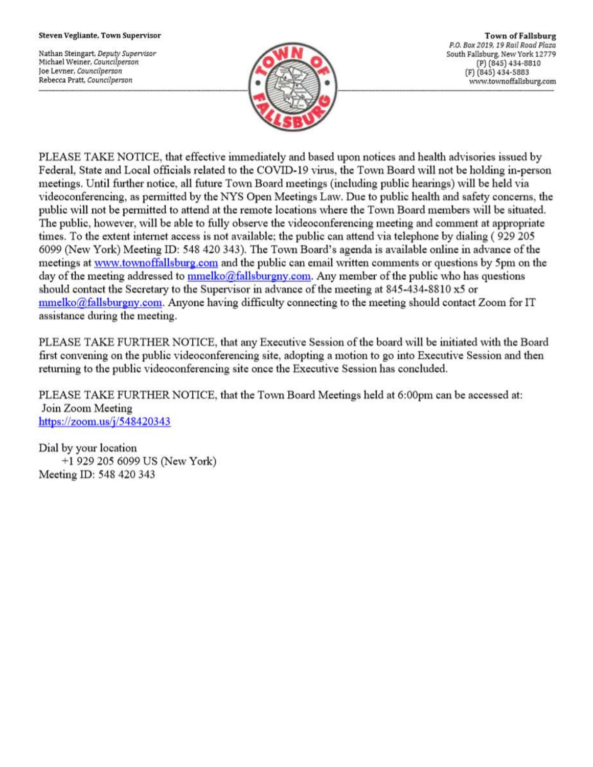#### Steven Vegliante, Town Supervisor

Nathan Steingart, Deputy Supervisor Michael Weiner, Councilperson Joe Levner, Councilperson Rebecca Pratt, Councilperson



**Town of Fallsburg** P.O. Box 2019, 19 Rail Road Plaza South Fallsburg, New York 12779 (P) (845) 434-8810 (F) (845) 434-5883 www.townoffallsburg.com

PLEASE TAKE NOTICE, that effective immediately and based upon notices and health advisories issued by Federal, State and Local officials related to the COVID-19 virus, the Town Board will not be holding in-person meetings. Until further notice, all future Town Board meetings (including public hearings) will be held via videoconferencing, as permitted by the NYS Open Meetings Law. Due to public health and safety concerns, the public will not be permitted to attend at the remote locations where the Town Board members will be situated. The public, however, will be able to fully observe the videoconferencing meeting and comment at appropriate times. To the extent internet access is not available; the public can attend via telephone by dialing (929 205 6099 (New York) Meeting ID: 548 420 343). The Town Board's agenda is available online in advance of the meetings at www.townoffallsburg.com and the public can email written comments or questions by 5pm on the day of the meeting addressed to mmelko@fallsburgny.com. Any member of the public who has questions should contact the Secretary to the Supervisor in advance of the meeting at 845-434-8810 x5 or  $mmelko@fallsburgny.com$ . Anyone having difficulty connecting to the meeting should contact Zoom for IT assistance during the meeting.

PLEASE TAKE FURTHER NOTICE, that any Executive Session of the board will be initiated with the Board first convening on the public videoconferencing site, adopting a motion to go into Executive Session and then returning to the public videoconferencing site once the Executive Session has concluded.

PLEASE TAKE FURTHER NOTICE, that the Town Board Meetings held at 6:00pm can be accessed at: Join Zoom Meeting https://zoom.us/ $j/548420343$ 

Dial by your location +1 929 205 6099 US (New York) Meeting ID: 548 420 343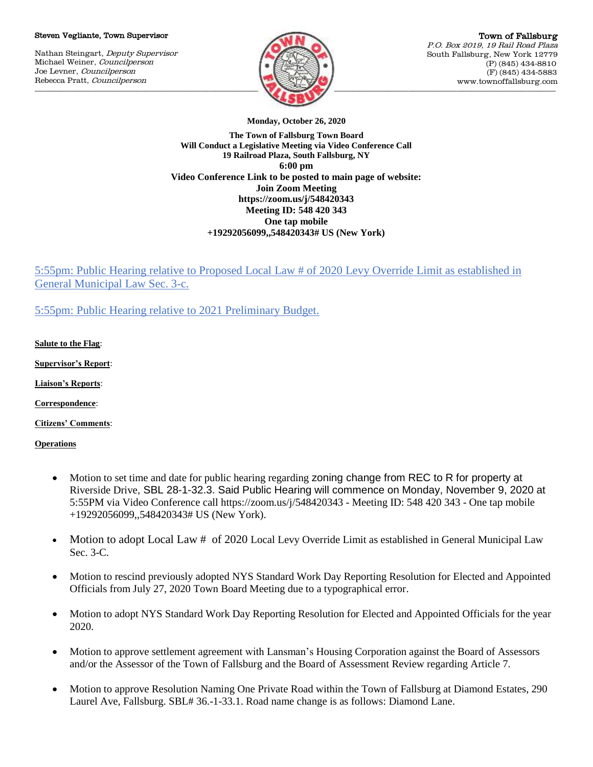#### Steven Vegliante, Town Supervisor

Nathan Steingart, Deputy Supervisor Michael Weiner, Councilperson Joe Levner, Councilperson Rebecca Pratt, Councilperson



Town of Fallsburg P.O. Box 2019, 19 Rail Road Plaza South Fallsburg, New York 12779 (P) (845) 434-8810 (F) (845) 434-5883 www.townoffallsburg.com

**Monday, October 26, 2020**

**The Town of Fallsburg Town Board Will Conduct a Legislative Meeting via Video Conference Call 19 Railroad Plaza, South Fallsburg, NY 6:00 pm Video Conference Link to be posted to main page of website: Join Zoom Meeting https://zoom.us/j/548420343 Meeting ID: 548 420 343 One tap mobile +19292056099,,548420343# US (New York)**

5:55pm: Public Hearing relative to Proposed Local Law # of 2020 Levy Override Limit as established in General Municipal Law Sec. 3-c.

5:55pm: Public Hearing relative to 2021 Preliminary Budget.

**Salute to the Flag**:

**Supervisor's Report**:

**Liaison's Reports**:

**Correspondence**:

**Citizens' Comments**:

**Operations**

- Motion to set time and date for public hearing regarding zoning change from REC to R for property at Riverside Drive, SBL 28-1-32.3. Said Public Hearing will commence on Monday, November 9, 2020 at 5:55PM via Video Conference call https://zoom.us/j/548420343 - Meeting ID: 548 420 343 - One tap mobile +19292056099,,548420343# US (New York).
- Motion to adopt Local Law # of 2020 Local Levy Override Limit as established in General Municipal Law Sec. 3-C.
- Motion to rescind previously adopted NYS Standard Work Day Reporting Resolution for Elected and Appointed Officials from July 27, 2020 Town Board Meeting due to a typographical error.
- Motion to adopt NYS Standard Work Day Reporting Resolution for Elected and Appointed Officials for the year 2020.
- Motion to approve settlement agreement with Lansman's Housing Corporation against the Board of Assessors and/or the Assessor of the Town of Fallsburg and the Board of Assessment Review regarding Article 7.
- Motion to approve Resolution Naming One Private Road within the Town of Fallsburg at Diamond Estates, 290 Laurel Ave, Fallsburg. SBL# 36.-1-33.1. Road name change is as follows: Diamond Lane.